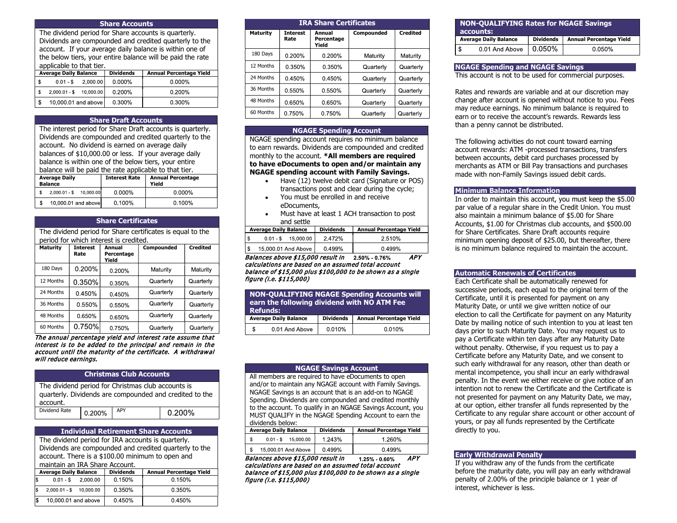#### Share Accounts

The dividend period for Share accounts is quarterly. Dividends are compounded and credited quarterly to the account. If your average daily balance is within one of the below tiers, your entire balance will be paid the rate applicable to that tier.

| <b>Average Daily Balance</b> |                         | <b>Dividends</b>    | <b>Annual Percentage Yield</b> |           |
|------------------------------|-------------------------|---------------------|--------------------------------|-----------|
| l \$                         |                         | $0.01 - $$ 2.000.00 | $0.000\%$                      | $0.000\%$ |
| i \$                         | 2,000.01 - \$ 10,000.00 |                     | 0.200%                         | 0.200%    |
| \$                           | 10,000.01 and above     |                     | 0.300%                         | 0.300%    |

# Share Draft Accounts

The interest period for Share Draft accounts is quarterly. Dividends are compounded and credited quarterly to the account. No dividend is earned on average daily balances of \$10,000.00 or less. If your average daily balance is within one of the below tiers, your entire balance will be paid the rate applicable to that tier.

| <b>Average Daily</b><br><b>Balance</b> |                         | <b>Interest Rate</b> | <b>Annual Percentage</b><br>Yield |           |
|----------------------------------------|-------------------------|----------------------|-----------------------------------|-----------|
|                                        | 2,000.01 - \$ 10,000.00 |                      | 0.000%                            | $0.000\%$ |
|                                        | 10,000.01 and above     |                      | $0.100\%$                         | 0.100%    |

# Share Certificates

| The dividend period for Share certificates is equal to the<br>period for which interest is credited. |                         |                               |            |                 |
|------------------------------------------------------------------------------------------------------|-------------------------|-------------------------------|------------|-----------------|
| <b>Maturity</b>                                                                                      | <b>Interest</b><br>Rate | Annual<br>Percentage<br>Yield | Compounded | <b>Credited</b> |
| 180 Days                                                                                             | 0.200%                  | 0.200%                        | Maturity   | Maturity        |
| 12 Months                                                                                            | 0.350%                  | 0.350%                        | Quarterly  | Quarterly       |
| 24 Months                                                                                            | 0.450%                  | 0.450%                        | Quarterly  | Quarterly       |
| 36 Months                                                                                            | 0.550%                  | 0.550%                        | Quarterly  | Quarterly       |
| 48 Months                                                                                            | 0.650%                  | 0.650%                        | Quarterly  | Quarterly       |
| 60 Months                                                                                            | 0.750%                  | 0.750%                        | Quarterly  | Quarterly       |

The annual percentage yield and interest rate assume that interest is to be added to the principal and remain in the account until the maturity of the certificate. A withdrawal will reduce earnings.

#### Christmas Club Accounts

| The dividend period for Christmas club accounts is<br>quarterly. Dividends are compounded and credited to the |        |     |        |  |  |
|---------------------------------------------------------------------------------------------------------------|--------|-----|--------|--|--|
| account.                                                                                                      |        |     |        |  |  |
| Dividend Rate                                                                                                 | 0.200% | APY | 0.200% |  |  |

#### Individual Retirement Share Accounts

The dividend period for IRA accounts is quarterly. Dividends are compounded and credited quarterly to the account. There is a \$100.00 minimum to open and maintain an IRA Share Account

|     | <b>Average Daily Balance</b> |                     | <b>Dividends</b> | <b>Annual Percentage Yield</b> |
|-----|------------------------------|---------------------|------------------|--------------------------------|
| I\$ |                              | $0.01 - $$ 2.000.00 | 0.150%           | 0.150%                         |
| l\$ | $2,000.01 - $$ 10,000.00     |                     | 0.350%           | 0.350%                         |
|     | 10,000.01 and above          |                     | 0.450%           | 0.450%                         |

| <b>IRA Share Certificates</b> |                         |                               |            |                 |  |
|-------------------------------|-------------------------|-------------------------------|------------|-----------------|--|
| <b>Maturity</b>               | <b>Interest</b><br>Rate | Annual<br>Percentage<br>Yield | Compounded | <b>Credited</b> |  |
| 180 Days                      | $0.200\%$               | $0.200\%$                     | Maturity   | Maturity        |  |
| 12 Months                     | 0.350%                  | $0.350\%$                     | Quarterly  | Quarterly       |  |
| 24 Months                     | 0.450%                  | 0.450%                        | Quarterly  | Quarterly       |  |
| 36 Months                     | 0.550%                  | 0.550%                        | Quarterly  | Quarterly       |  |
| 48 Months                     | 0.650%                  | 0.650%                        | Quarterly  | Quarterly       |  |
| 60 Months                     | 0.750%                  | 0.750%                        | Quarterly  | Quarterly       |  |

#### NGAGE Spending Account

NGAGE spending account requires no minimum balance to earn rewards. Dividends are compounded and credited monthly to the account. \*All members are required to have eDocuments to open and/or maintain any NGAGE spending account with Family Savings.

- Have (12) twelve debit card (Signature or POS) transactions post and clear during the cycle;
- You must be enrolled in and receive eDocuments,
- Must have at least 1 ACH transaction to post and settle

| <b>Average Daily Balance</b> |                         | <b>Dividends</b> | <b>Annual Percentage Yield</b> |
|------------------------------|-------------------------|------------------|--------------------------------|
| l \$                         | $0.01 - $$<br>15.000.00 | 2.472%           | 2.510%                         |
| l \$                         | 15,000.01 And Above     | 0.499%           | 0.499%                         |

Balances above \$15,000 result in 2.50% - 0.76% APY calculations are based on an assumed total account balance of \$15,000 plus \$100,000 to be shown as a single figure (i.e. \$115,000)

|   | <b>NON-QUALIFYING NGAGE Spending Accounts will</b><br>earn the following dividend with NO ATM Fee<br><b>Refunds:</b> |                  |                                |  |  |
|---|----------------------------------------------------------------------------------------------------------------------|------------------|--------------------------------|--|--|
|   | <b>Average Daily Balance</b>                                                                                         | <b>Dividends</b> | <b>Annual Percentage Yield</b> |  |  |
| S | 0.01 And Above                                                                                                       | 0.010%           | 0.010%                         |  |  |

# NGAGE Savings Account

All members are required to have eDocuments to open and/or to maintain any NGAGE account with Family Savings. NGAGE Savings is an account that is an add-on to NGAGE Spending. Dividends are compounded and credited monthly to the account. To qualify in an NGAGE Savings Account, you MUST QUALIFY in the NGAGE Spending Account to earn the dividends below:

| <b>Average Daily Balance</b> |  |                         | <b>Dividends</b> | <b>Annual Percentage Yield</b> |
|------------------------------|--|-------------------------|------------------|--------------------------------|
|                              |  | $0.01 - $$<br>15.000.00 | 1.243%           | 1.260%                         |
|                              |  | 15,000.01 And Above     | 0.499%           | 0.499%                         |

Balances above \$15,000 result in 1.25% - 0.60% APY calculations are based on an assumed total account balance of \$15,000 plus \$100,000 to be shown as a single figure (i.e. \$115,000)

|                              | <b>NON-QUALIFYING Rates for NGAGE Savings</b><br>accounts: |                  |                                |  |  |
|------------------------------|------------------------------------------------------------|------------------|--------------------------------|--|--|
| <b>Average Daily Balance</b> |                                                            | <b>Dividends</b> | <b>Annual Percentage Yield</b> |  |  |
| \$                           | 0.01 And Above                                             | $ 0.050\%$       | 0.050%                         |  |  |

#### NGAGE Spending and NGAGE Savings

This account is not to be used for commercial purposes.

Rates and rewards are variable and at our discretion may change after account is opened without notice to you. Fees may reduce earnings. No minimum balance is required to earn or to receive the account's rewards. Rewards less than a penny cannot be distributed.

The following activities do not count toward earning account rewards: ATM -processed transactions, transfers between accounts, debit card purchases processed by merchants as ATM or Bill Pay transactions and purchases made with non-Family Savings issued debit cards.

#### Minimum Balance Information

In order to maintain this account, you must keep the \$5.00 par value of a regular share in the Credit Union. You must also maintain a minimum balance of \$5.00 for Share Accounts, \$1.00 for Christmas club accounts, and \$500.00 for Share Certificates. Share Draft accounts require minimum opening deposit of \$25.00, but thereafter, there is no minimum balance required to maintain the account.

#### Automatic Renewals of Certificates

Each Certificate shall be automatically renewed for successive periods, each equal to the original term of the Certificate, until it is presented for payment on any Maturity Date, or until we give written notice of our election to call the Certificate for payment on any Maturity Date by mailing notice of such intention to you at least ten days prior to such Maturity Date. You may request us to pay a Certificate within ten days after any Maturity Date without penalty. Otherwise, if you request us to pay a Certificate before any Maturity Date, and we consent to such early withdrawal for any reason, other than death or mental incompetence, you shall incur an early withdrawal penalty. In the event we either receive or give notice of an intention not to renew the Certificate and the Certificate is not presented for payment on any Maturity Date, we may, at our option, either transfer all funds represented by the Certificate to any regular share account or other account of yours, or pay all funds represented by the Certificate directly to you.

#### Early Withdrawal Penalty

If you withdraw any of the funds from the certificate before the maturity date, you will pay an early withdrawal penalty of 2.00% of the principle balance or 1 year of interest, whichever is less.